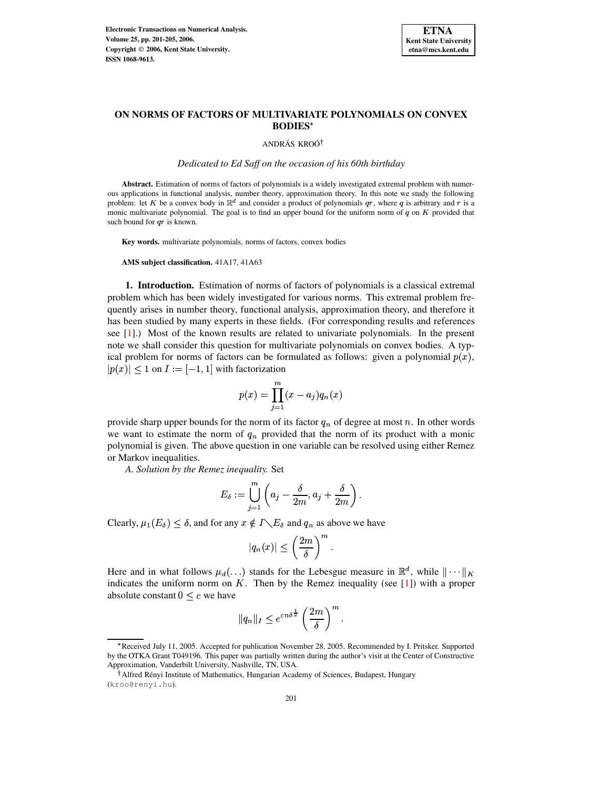

# **ON NORMS OF FACTORS OF MULTIVARIATE POLYNOMIALS ON CONVEX BODIES**

## ANDRÁS KROÓ<sup>†</sup>

*Dedicated to Ed Saff on the occasion of his 60th birthday*

**Abstract.** Estimation of norms of factors of polynomials is a widely investigated extremal problem with numerous applications in functional analysis, number theory, approximation theory. In this note we study the following problem: let K be a convex body in  $\mathbb{R}^d$  and consider a product of polynomials  $q\tau$ , where q is arbitrary and r is a monic multivariate polynomial. The goal is to find an upper bound for the uniform norm of  $q$  on  $K$  provided that such bound for  $ar$  is known.

**Key words.** multivariate polynomials, norms of factors, convex bodies

**AMS subject classification.** 41A17, 41A63

**1. Introduction.** Estimation of norms of factors of polynomials is a classical extremal problem which has been widely investigated for various norms. This extremal problem frequently arises in number theory, functional analysis, approximation theory, and therefore it has been studied by many experts in these fields. (For corresponding results and references see [\[1\]](#page-4-0).) Most of the known results are related to univariate polynomials. In the present note we shall consider this question for multivariate polynomials on convex bodies. A typical problem for norms of factors can be formulated as follows: given a polynomial  $p(x)$ ,  $|p(x)| \leq 1$  on  $I := [-1,1]$  with factorization

$$
p(x)=\prod_{j=1}^m(x-a_j)q_n(x)
$$

provide sharp upper bounds for the norm of its factor  $q_n$  of degree at most n. In other words we want to estimate the norm of  $q_n$  provided that the norm of its product with a monic polynomial is given. The above question in one variable can be resolved using either Remez or Markov inequalities.

*A. Solution by the Remez inequality.* Set

$$
E_{\delta}:=\bigcup_{j=1}^m\left(a_j-\frac{\delta}{2m},a_j+\frac{\delta}{2m}\right).
$$

Clearly,  $\mu_1(E_\delta) \leq \delta$ , and for any  $x \notin I \setminus E_\delta$  and  $q_n$  as above we have

$$
|q_n(x)| \leq \left(\frac{2m}{\delta}\right)^m.
$$

Here and in what follows  $\mu_d(\ldots)$  stands for the Lebesgue measure in  $\mathbb{R}^d$ , while  $\|\cdots\|_K$ indicates the uniform norm on  $K$ . Then by the Remez inequality (see [\[1\]](#page-4-0)) with a proper absolute constant  $0 < c$  we have

$$
||q_n||_I \leq e^{cn\delta^{\frac{1}{2}}} \left(\frac{2m}{\delta}\right)^m.
$$

<sup>`</sup> Received July 11, 2005. Accepted for publication November 28, 2005. Recommended by I. Pritsker. Supported by the OTKA Grant T049196. This paper was partially written during the author's visit at the Center of Constructive Approximation, Vanderbilt University, Nashville, TN, USA.

<sup>&</sup>lt;sup>†</sup> Alfred Rényi Institute of Mathematics, Hungarian Academy of Sciences, Budapest, Hungary (kroo@renyi.hu).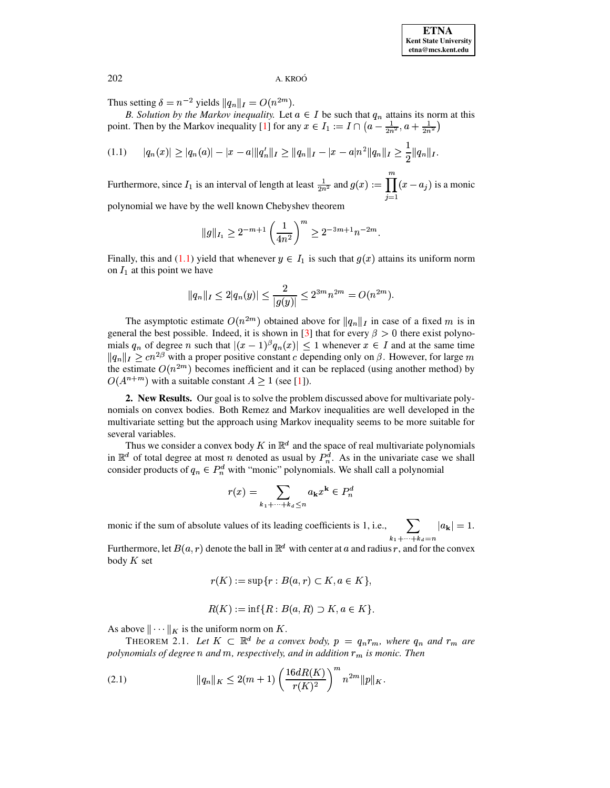202 A. KROO´

Thus setting  $\delta = n^{-2}$  yields  $||q_n||_I = O(n^{2m})$ .

*B. Solution by the Markov inequality.* Let  $a \in I$  be such that  $q_n$  attains its norm at this point. Then by the Markov inequality [\[1\]](#page-4-0) for any  $x \in I_1 := I \cap (a - \frac{1}{2n^2}, a + \frac{1}{2n^2})$ ,  $\frac{1}{2n^2}, a + \frac{1}{2n^2}$  $\sqrt{2n^2}$ 

<span id="page-1-0"></span>
$$
(1.1) \qquad |q_n(x)| \geq |q_n(a)| - |x-a| \|q_n'\|_I \geq \|q_n\|_I - |x-a|n^2\|q_n\|_I \geq \frac{1}{2} \|q_n\|_I.
$$

Furthermore, since  $I_1$  is an interval of length at least  $\frac{1}{2n^2}$  and  $g(x) := \prod (x - a_j)$  is  $(m)$  $\prod_{i=1}^{\infty} (x - a_j)$  is a monic

polynomial we have by the well known Chebyshev theorem

$$
||g||_{I_1} \ge 2^{-m+1} \left(\frac{1}{4n^2}\right)^m \ge 2^{-3m+1} n^{-2m}.
$$

Finally, this and [\(1.1\)](#page-1-0) yield that whenever  $y \in I_1$  is such that  $g(x)$  attains its uniform norm on  $I_1$  at this point we have

$$
||q_n||_I \le 2|q_n(y)| \le \frac{2}{|g(y)|} \le 2^{3m} n^{2m} = O(n^{2m}).
$$

The asymptotic estimate  $O(n^{2m})$  obtained above for  $||q_n||_I$  in case of a fixed m is in general the best possible. Indeed, it is shown in [\[3\]](#page-4-1) that for every  $\beta > 0$  there exist polynomials  $q_n$  of degree n such that  $|(x-1)^{\beta}q_n(x)| \leq 1$  whenever  $x \in I$  and at the same time  $||q_n||_I \geq cn^{2\beta}$  with a proper positive constant c depending only on  $\beta$ . However, for large m the estimate  $O(n^{2m})$  becomes inefficient and it can be replaced (using another method) by  $O(A^{n+m})$  with a suitable constant  $A \ge 1$  (see [\[1\]](#page-4-0)).

**2. New Results.** Our goal is to solve the problem discussed above for multivariate polynomials on convex bodies. Both Remez and Markov inequalities are well developed in the multivariate setting but the approach using Markov inequality seems to be more suitable for several variables.

Thus we consider a convex body K in  $\mathbb{R}^d$  and the space of real multivariate polynomials in  $\mathbb{R}^d$  of total degree at most n denoted as usual by  $P_n^d$ . As in the univariate case we shall consider products of  $q_n \in P_n^d$  with "monic" polynomials. We shall call a polynomial

$$
r(x) = \sum_{k_1 + \dots + k_d \le n} a_{\mathbf{k}} x^{\mathbf{k}} \in P_n^d
$$

monic if the sum of absolute values of its leading coefficients is 1, i.e.,  $\sum_{k_1+\cdots+k_l=n} |a_k| = 1$ .  $|a_{\mathbf{k}}| = 1.$ 

Furthermore, let  $B(a, r)$  denote the ball in  $\mathbb{R}^d$  with center at a and radius r, and for the convex body  $K$  set

$$
r(K) := \sup\{r : B(a,r) \subset K, a \in K\},\
$$

<span id="page-1-2"></span>
$$
R(K) := \inf\{R : B(a, R) \supset K, a \in K\}.
$$

As above  $\|\cdots\|_K$  is the uniform norm on K.

THEOREM 2.1. Let  $K \subset \mathbb{R}^d$  be a convex body,  $p = q_n r_m$ , where  $q_n$  and  $r_m$  are  $p$ olynomials of degree  $n$  and  $m$ , respectively, and in addition  $r_m$  is monic. Then

<span id="page-1-1"></span>(2.1) 
$$
\|q_n\|_K \leq 2(m+1) \left(\frac{16dR(K)}{r(K)^2}\right)^m n^{2m} \|p\|_K.
$$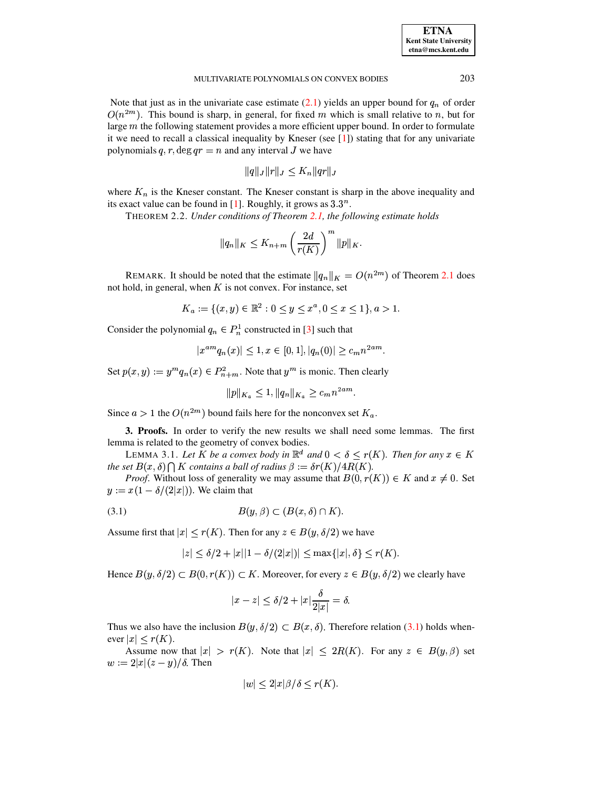# MULTIVARIATE POLYNOMIALS ON CONVEX BODIES 203

Note that just as in the univariate case estimate  $(2.1)$  yields an upper bound for  $q_n$  of order  $O(n^{2m})$ . This bound is sharp, in general, for fixed m which is small relative to n, but for large  $m$  the following statement provides a more efficient upper bound. In order to formulate it we need to recall a classical inequality by Kneser (see  $\lceil 1 \rceil$ ) stating that for any univariate polynomials q, r, deg  $qr = n$  and any interval J we have

<span id="page-2-2"></span>
$$
\|q\|_J\|r\|_J\leq K_n\|qr\|_J
$$

where  $K_n$  is the Kneser constant. The Kneser constant is sharp in the above inequality and its exact value can be found in  $[1]$ . Roughly, it grows as  $3.3^n$ .

THEOREM 2.2. *Under conditions of Theorem [2.1,](#page-1-2) the following estimate holds*

$$
||q_n||_K \leq K_{n+m} \left(\frac{2d}{r(K)}\right)^m ||p||_K.
$$

REMARK. It should be noted that the estimate  $||q_n||_K = O(n^{2m})$  of Theorem [2.1](#page-1-2) does not hold, in general, when  $K$  is not convex. For instance, set

$$
K_a := \{(x, y) \in \mathbb{R}^2 : 0 \le y \le x^a, 0 \le x \le 1\}, a > 1.
$$

Consider the polynomial  $q_n \in P_n^1$  constructed in [\[3\]](#page-4-1) such that

$$
|x^{am}q_n(x)| \le 1, x \in [0,1], |q_n(0)| \ge c_m n^{2am}.
$$

Set  $p(x, y) := y^m q_n(x) \in P_{n+m}^2$ . Note that  $y^m$  is monic. Then clearly

<span id="page-2-1"></span>
$$
||p||_{K_a} \le 1, ||q_n||_{K_a} \ge c_m n^{2am}.
$$

Since  $a > 1$  the  $O(n^{2m})$  bound fails here for the nonconvex set  $K_a$ .

**3. Proofs.** In order to verify the new results we shall need some lemmas. The first lemma is related to the geometry of convex bodies.

LEMMA 3.1. Let *K* be a convex body in  $\mathbb{R}^d$  and  $0 < \delta \leq r(K)$ . Then for any  $x \in K$ the set  $B(x, \delta) \bigcap K$  contains a ball of radius  $\beta := \delta r(K) / 4R(K)$ .

*Proof.* Without loss of generality we may assume that  $B(0, r(K)) \in K$  and  $x \neq 0$ . Set  $y := x(1 - \delta/(2|x|))$ . We claim that

$$
(3.1) \t B(y,\beta) \subset (B(x,\delta) \cap K).
$$

Assume first that  $|x| \le r(K)$ . Then for any  $z \in B(y, \delta/2)$  we have

<span id="page-2-0"></span>
$$
|z| \le \delta/2 + |x||1 - \delta/(2|x|)| \le \max\{|x|, \delta\} \le r(K).
$$

Hence  $B(y, \delta/2) \subset B(0, r(K)) \subset K$ . Moreover, for every  $z \in B(y, \delta/2)$  we clearly have

$$
|x-z|\leq \delta/2+|x|\frac{\delta}{2|x|}=\delta.
$$

Thus we also have the inclusion  $B(y, \delta/2) \subset B(x, \delta)$ . Therefore relation [\(3.1\)](#page-2-0) holds whenever  $|x| \le r(K)$ .

Assume now that  $|x| > r(K)$ . Note that  $|x| \leq 2R(K)$ . For any  $z \in B(y, \beta)$  set  $w := 2|x|(z-y)/\delta$ . Then

$$
|w| \le 2|x|\beta/\delta \le r(K).
$$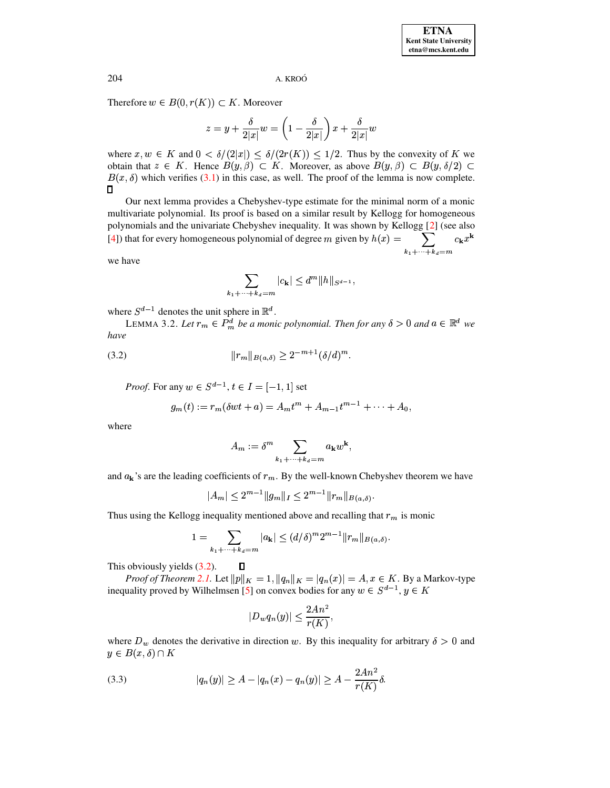A. KROÓ

Therefore  $w \in B(0, r(K)) \subset K$ . Moreover

$$
z=y+\frac{\delta}{2|x|}w=\left(1-\frac{\delta}{2|x|}\right)x+\frac{\delta}{2|x|}w
$$

where  $x, w \in K$  and  $0 < \delta/(2|x|) \leq \delta/(2r(K)) \leq 1/2$ . Thus by the convexity of K we obtain that  $z \in K$ . Hence  $B(y, \beta) \subset K$ . Moreover, as above  $B(y, \beta) \subset B(y, \delta/2) \subset$  $B(x, \delta)$  which verifies (3.1) in this case, as well. The proof of the lemma is now complete.  $\Box$ 

Our next lemma provides a Chebyshev-type estimate for the minimal norm of a monic multivariate polynomial. Its proof is based on a similar result by Kellogg for homogeneous polynomials and the univariate Chebyshev inequality. It was shown by Kellogg [2] (see also  $\sum_{k_1+\cdots+k_d=m} c_{\mathbf{k}} x^{\mathbf{k}}$ [4]) that for every homogeneous polynomial of degree m given by  $h(x) =$ 

we have

$$
\sum_{1+\cdots+k_d=m} |c_{\mathbf{k}}| \leq d^m \|h\|_{S^{d-1}}
$$

<span id="page-3-1"></span>where  $S^{d-1}$  denotes the unit sphere in  $\mathbb{R}^d$ .

LEMMA 3.2. Let  $r_m \in P_m^d$  be a monic polynomial. Then for any  $\delta > 0$  and  $a \in \mathbb{R}^d$  we have

(3.2) 
$$
||r_m||_{B(a,\delta)} \geq 2^{-m+1} (\delta/d)^m.
$$

 $\mathbf{k}$ 

<span id="page-3-0"></span>*Proof.* For any  $w \in S^{d-1}$ ,  $t \in I = [-1, 1]$  set

$$
g_m(t) := r_m(\delta wt + a) = A_m t^m + A_{m-1} t^{m-1} + \dots + A_0,
$$

where

$$
A_m := \delta^m \sum_{k_1 + \dots + k_d = m} a_{\mathbf{k}} w^{\mathbf{k}},
$$

and  $a_k$ 's are the leading coefficients of  $r_m$ . By the well-known Chebyshev theorem we have

$$
|A_m| \le 2^{m-1} \|g_m\|_I \le 2^{m-1} \|r_m\|_{B(a,\delta)}.
$$

Thus using the Kellogg inequality mentioned above and recalling that  $r_m$  is monic

$$
1 = \sum_{k_1 + \dots + k_d = m} |a_k| \le (d/\delta)^m 2^{m-1} ||r_m||_{B(a,\delta)}.
$$

This obviously yields  $(3.2)$ .  $\Box$ 

*Proof of Theorem 2.1.* Let  $||p||_K = 1$ ,  $||q_n||_K = |q_n(x)| = A$ ,  $x \in K$ . By a Markov-type inequality proved by Wilhelmsen [5] on convex bodies for any  $w \in S^{d-1}$ ,  $y \in K$ 

$$
|D_w q_n(y)| \le \frac{2An^2}{r(K)},
$$

where  $D_w$  denotes the derivative in direction w. By this inequality for arbitrary  $\delta > 0$  and  $y \in B(x,\delta) \cap K$ 

<span id="page-3-2"></span>(3.3) 
$$
|q_n(y)| \ge A - |q_n(x) - q_n(y)| \ge A - \frac{2An^2}{r(K)}\delta.
$$

204